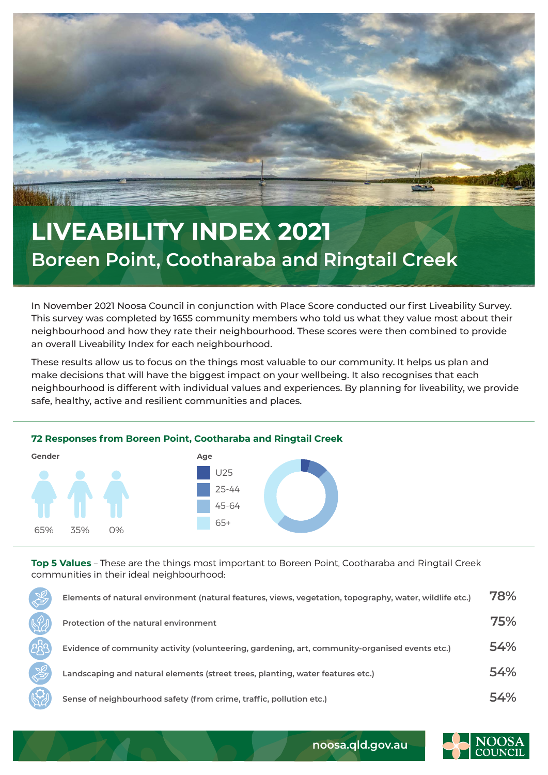

## **LIVEABILITY INDEX 2021 Boreen Point, Cootharaba and Ringtail Creek**

In November 2021 Noosa Council in conjunction with Place Score conducted our first Liveability Survey. This survey was completed by 1655 community members who told us what they value most about their neighbourhood and how they rate their neighbourhood. These scores were then combined to provide an overall Liveability Index for each neighbourhood.

These results allow us to focus on the things most valuable to our community. It helps us plan and make decisions that will have the biggest impact on your wellbeing. It also recognises that each neighbourhood is different with individual values and experiences. By planning for liveability, we provide safe, healthy, active and resilient communities and places.





**Top 5 Values** – These are the things most important to Boreen Point, Cootharaba and Ringtail Creek communities in their ideal neighbourhood:

| Elements of natural environment (natural features, views, vegetation, topography, water, wildlife etc.) | 78% |
|---------------------------------------------------------------------------------------------------------|-----|
| Protection of the natural environment                                                                   | 75% |
| Evidence of community activity (volunteering, gardening, art, community-organised events etc.)          | 54% |
| Landscaping and natural elements (street trees, planting, water features etc.)                          | 54% |
| Sense of neighbourhood safety (from crime, traffic, pollution etc.)                                     | 54% |



**noosa.qld.gov.au**